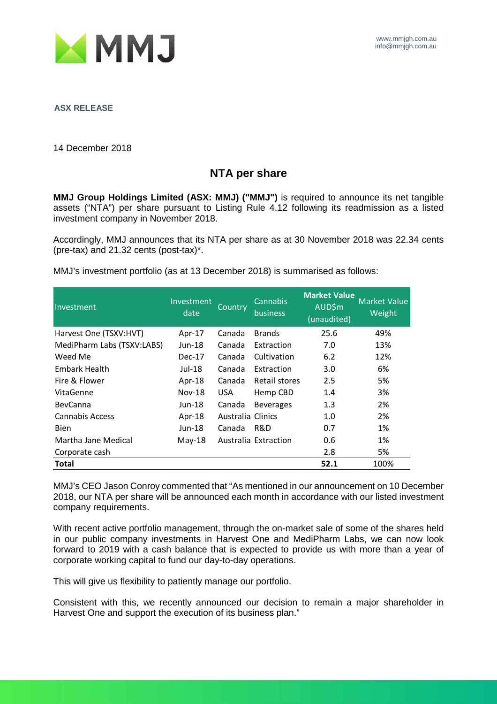

**ASX RELEASE**

14 December 2018

## **NTA per share**

**MMJ Group Holdings Limited (ASX: MMJ) ("MMJ")** is required to announce its net tangible assets ("NTA") per share pursuant to Listing Rule 4.12 following its readmission as a listed investment company in November 2018.

Accordingly, MMJ announces that its NTA per share as at 30 November 2018 was 22.34 cents (pre-tax) and 21.32 cents (post-tax)\*.

MMJ's investment portfolio (as at 13 December 2018) is summarised as follows:

| Investment                 | Investment<br>date | Country           | Cannabis<br>business | <b>Market Value</b><br><b>AUD\$m</b><br>(unaudited) | <b>Market Value</b><br>Weight |
|----------------------------|--------------------|-------------------|----------------------|-----------------------------------------------------|-------------------------------|
| Harvest One (TSXV:HVT)     | Apr-17             | Canada            | <b>Brands</b>        | 25.6                                                | 49%                           |
| MediPharm Labs (TSXV:LABS) | Jun-18             | Canada            | Extraction           | 7.0                                                 | 13%                           |
| Weed Me                    | $Dec-17$           | Canada            | Cultivation          | 6.2                                                 | 12%                           |
| Embark Health              | $Jul-18$           | Canada            | Extraction           | 3.0                                                 | 6%                            |
| Fire & Flower              | Apr- $18$          | Canada            | Retail stores        | 2.5                                                 | 5%                            |
| VitaGenne                  | $Nov-18$           | USA.              | Hemp CBD             | 1.4                                                 | 3%                            |
| <b>BevCanna</b>            | Jun-18             | Canada            | <b>Beverages</b>     | 1.3                                                 | 2%                            |
| Cannabis Access            | Apr- $18$          | Australia Clinics |                      | 1.0                                                 | 2%                            |
| <b>Bien</b>                | Jun-18             | Canada            | R&D                  | 0.7                                                 | 1%                            |
| Martha Jane Medical        | $May-18$           |                   | Australia Extraction | 0.6                                                 | 1%                            |
| Corporate cash             |                    |                   |                      | 2.8                                                 | 5%                            |
| Total                      |                    |                   |                      | 52.1                                                | 100%                          |

MMJ's CEO Jason Conroy commented that "As mentioned in our announcement on 10 December 2018, our NTA per share will be announced each month in accordance with our listed investment company requirements.

With recent active portfolio management, through the on-market sale of some of the shares held in our public company investments in Harvest One and MediPharm Labs, we can now look forward to 2019 with a cash balance that is expected to provide us with more than a year of corporate working capital to fund our day-to-day operations.

This will give us flexibility to patiently manage our portfolio.

Consistent with this, we recently announced our decision to remain a major shareholder in Harvest One and support the execution of its business plan."